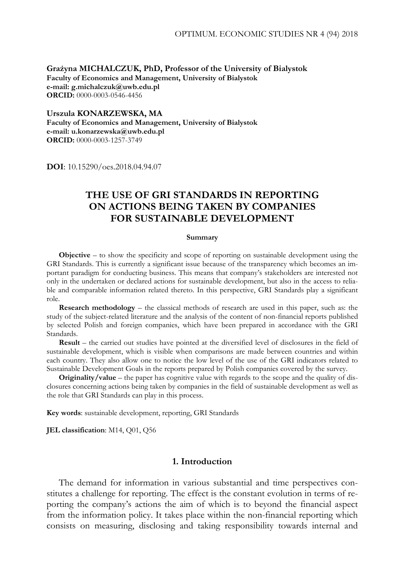**Grażyna MICHALCZUK, PhD, Professor of the University of Bialystok Faculty of Economics and Management, University of Bialystok e-mail: g.michalczuk@uwb.edu.pl ORCID:** 0000-0003-0546-4456

**Urszula KONARZEWSKA, MA Faculty of Economics and Management, University of Bialystok e-mail: u.konarzewska@uwb.edu.pl ORCID:** 0000-0003-1257-3749

**DOI**: 10.15290/oes.2018.04.94.07

# **THE USE OF GRI STANDARDS IN REPORTING ON ACTIONS BEING TAKEN BY COMPANIES FOR SUSTAINABLE DEVELOPMENT**

#### **Summary**

**Objective** *–* to show the specificity and scope of reporting on sustainable development using the GRI Standards. This is currently a significant issue because of the transparency which becomes an important paradigm for conducting business. This means that company's stakeholders are interested not only in the undertaken or declared actions for sustainable development, but also in the access to reliable and comparable information related thereto. In this perspective, GRI Standards play a significant role.

**Research methodology** *–* the classical methods of research are used in this paper, such as: the study of the subject-related literature and the analysis of the content of non-financial reports published by selected Polish and foreign companies, which have been prepared in accordance with the GRI Standards.

**Result** *–* the carried out studies have pointed at the diversified level of disclosures in the field of sustainable development, which is visible when comparisons are made between countries and within each country. They also allow one to notice the low level of the use of the GRI indicators related to Sustainable Development Goals in the reports prepared by Polish companies covered by the survey.

**Originality/value** – the paper has cognitive value with regards to the scope and the quality of disclosures concerning actions being taken by companies in the field of sustainable development as well as the role that GRI Standards can play in this process.

**Key words**: sustainable development, reporting, GRI Standards

**JEL classification**: M14, Q01, Q56

### **1. Introduction**

The demand for information in various substantial and time perspectives constitutes a challenge for reporting. The effect is the constant evolution in terms of reporting the company's actions the aim of which is to beyond the financial aspect from the information policy. It takes place within the non-financial reporting which consists on measuring, disclosing and taking responsibility towards internal and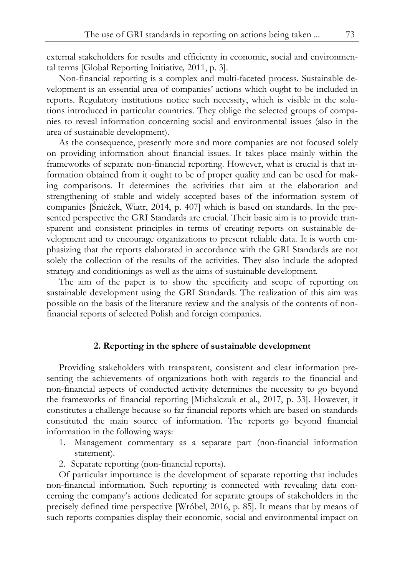external stakeholders for results and efficienty in economic, social and environmental terms [Global Reporting Initiative*,* 2011, p. 3].

Non-financial reporting is a complex and multi-faceted process. Sustainable development is an essential area of companies' actions which ought to be included in reports. Regulatory institutions notice such necessity, which is visible in the solutions introduced in particular countries. They oblige the selected groups of companies to reveal information concerning social and environmental issues (also in the area of sustainable development).

As the consequence, presently more and more companies are not focused solely on providing information about financial issues. It takes place mainly within the frameworks of separate non-financial reporting. However, what is crucial is that information obtained from it ought to be of proper quality and can be used for making comparisons. It determines the activities that aim at the elaboration and strengthening of stable and widely accepted bases of the information system of companies [Śnieżek, Wiatr, 2014, p. 407] which is based on standards. In the presented perspective the GRI Standards are crucial. Their basic aim is to provide transparent and consistent principles in terms of creating reports on sustainable development and to encourage organizations to present reliable data. It is worth emphasizing that the reports elaborated in accordance with the GRI Standards are not solely the collection of the results of the activities. They also include the adopted strategy and conditionings as well as the aims of sustainable development.

The aim of the paper is to show the specificity and scope of reporting on sustainable development using the GRI Standards. The realization of this aim was possible on the basis of the literature review and the analysis of the contents of nonfinancial reports of selected Polish and foreign companies.

#### **2. Reporting in the sphere of sustainable development**

Providing stakeholders with transparent, consistent and clear information presenting the achievements of organizations both with regards to the financial and non-financial aspects of conducted activity determines the necessity to go beyond the frameworks of financial reporting [Michalczuk et al., 2017, p. 33]. However, it constitutes a challenge because so far financial reports which are based on standards constituted the main source of information. The reports go beyond financial information in the following ways:

- 1. Management commentary as a separate part (non-financial information statement).
- 2. Separate reporting (non-financial reports).

Of particular importance is the development of separate reporting that includes non-financial information. Such reporting is connected with revealing data concerning the company's actions dedicated for separate groups of stakeholders in the precisely defined time perspective [Wróbel, 2016, p. 85]. It means that by means of such reports companies display their economic, social and environmental impact on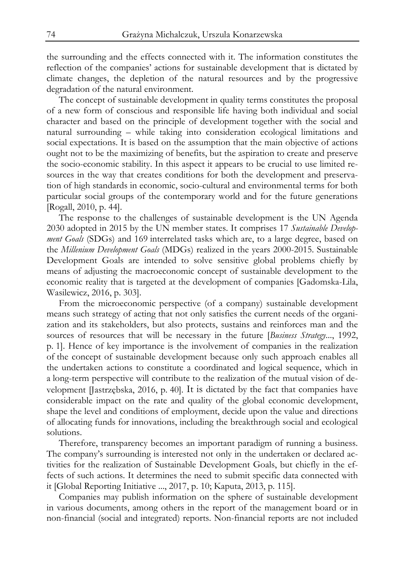the surrounding and the effects connected with it. The information constitutes the reflection of the companies' actions for sustainable development that is dictated by climate changes, the depletion of the natural resources and by the progressive degradation of the natural environment.

The concept of sustainable development in quality terms constitutes the proposal of a new form of conscious and responsible life having both individual and social character and based on the principle of development together with the social and natural surrounding – while taking into consideration ecological limitations and social expectations. It is based on the assumption that the main objective of actions ought not to be the maximizing of benefits, but the aspiration to create and preserve the socio-economic stability. In this aspect it appears to be crucial to use limited resources in the way that creates conditions for both the development and preservation of high standards in economic, socio-cultural and environmental terms for both particular social groups of the contemporary world and for the future generations [Rogall, 2010, p. 44].

The response to the challenges of sustainable development is the UN Agenda 2030 adopted in 2015 by the UN member states. It comprises 17 *Sustainable Development Goals* (SDGs) and 169 interrelated tasks which are, to a large degree, based on the *Millenium Development Goals* (MDGs) realized in the years 2000-2015. Sustainable Development Goals are intended to solve sensitive global problems chiefly by means of adjusting the macroeconomic concept of sustainable development to the economic reality that is targeted at the development of companies [Gadomska-Lila, Wasilewicz, 2016, p. 303].

From the microeconomic perspective (of a company) sustainable development means such strategy of acting that not only satisfies the current needs of the organization and its stakeholders, but also protects, sustains and reinforces man and the sources of resources that will be necessary in the future [*Business Strategy*..., 1992, p. 1]. Hence of key importance is the involvement of companies in the realization of the concept of sustainable development because only such approach enables all the undertaken actions to constitute a coordinated and logical sequence, which in a long-term perspective will contribute to the realization of the mutual vision of development [Jastrzębska, 2016, p. 40]. It is dictated by the fact that companies have considerable impact on the rate and quality of the global economic development, shape the level and conditions of employment, decide upon the value and directions of allocating funds for innovations, including the breakthrough social and ecological solutions.

Therefore, transparency becomes an important paradigm of running a business. The company's surrounding is interested not only in the undertaken or declared activities for the realization of Sustainable Development Goals, but chiefly in the effects of such actions. It determines the need to submit specific data connected with it [Global Reporting Initiative ..., 2017, p. 10; Kaputa, 2013, p. 115].

Companies may publish information on the sphere of sustainable development in various documents, among others in the report of the management board or in non-financial (social and integrated) reports. Non-financial reports are not included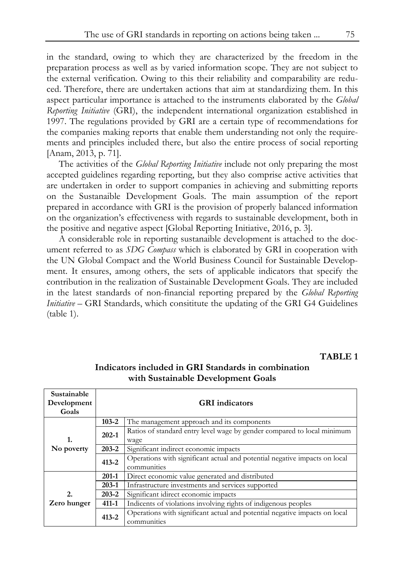in the standard, owing to which they are characterized by the freedom in the preparation process as well as by varied information scope. They are not subject to the external verification. Owing to this their reliability and comparability are reduced. Therefore, there are undertaken actions that aim at standardizing them. In this aspect particular importance is attached to the instruments elaborated by the *Global Reporting Initiative* (GRI), the independent international organization established in 1997. The regulations provided by GRI are a certain type of recommendations for the companies making reports that enable them understanding not only the requirements and principles included there, but also the entire process of social reporting [Anam, 2013, p. 71].

The activities of the *Global Reporting Initiative* include not only preparing the most accepted guidelines regarding reporting, but they also comprise active activities that are undertaken in order to support companies in achieving and submitting reports on the Sustanaible Development Goals. The main assumption of the report prepared in accordance with GRI is the provision of properly balanced information on the organization's effectiveness with regards to sustainable development, both in the positive and negative aspect [Global Reporting Initiative, 2016, p. 3].

A considerable role in reporting sustanaible development is attached to the document referred to as *SDG Compass* which is elaborated by GRI in cooperation with the UN Global Compact and the World Business Council for Sustainable Development. It ensures, among others, the sets of applicable indicators that specify the contribution in the realization of Sustainable Development Goals. They are included in the latest standards of non-financial reporting prepared by the *Global Reporting Initiative* – GRI Standards, which consititute the updating of the GRI G4 Guidelines (table 1).

#### **TABLE 1**

| Sustainable<br>Development<br>Goals |                                                                                                        | <b>GRI</b> indicators                                                                     |  |  |  |  |  |
|-------------------------------------|--------------------------------------------------------------------------------------------------------|-------------------------------------------------------------------------------------------|--|--|--|--|--|
|                                     | $103 - 2$                                                                                              | The management approach and its components                                                |  |  |  |  |  |
| 1.                                  | $202 - 1$                                                                                              | Ratios of standard entry level wage by gender compared to local minimum<br>wage           |  |  |  |  |  |
| No poverty                          | $203 - 2$                                                                                              | Significant indirect economic impacts                                                     |  |  |  |  |  |
|                                     | Operations with significant actual and potential negative impacts on local<br>$413 - 2$<br>communities |                                                                                           |  |  |  |  |  |
|                                     | $201-1$                                                                                                | Direct economic value generated and distributed                                           |  |  |  |  |  |
|                                     | $203 - 1$                                                                                              | Infrastructure investments and services supported                                         |  |  |  |  |  |
| 2.                                  | $203 - 2$                                                                                              | Significant idirect economic impacts                                                      |  |  |  |  |  |
| Zero hunger                         | $411 - 1$                                                                                              | Indicents of violations involving rights of indigenous peoples                            |  |  |  |  |  |
|                                     | $413 - 2$                                                                                              | Operations with significant actual and potential negative impacts on local<br>communities |  |  |  |  |  |

### **Indicators included in GRI Standards in combination with Sustainable Development Goals**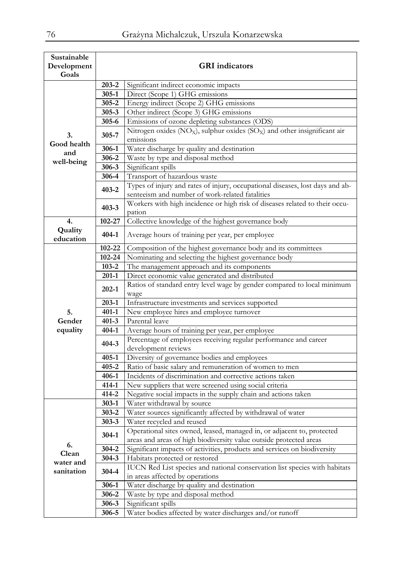| Sustainable |                                                                             |                                                                                                   |  |  |  |  |  |  |  |  |
|-------------|-----------------------------------------------------------------------------|---------------------------------------------------------------------------------------------------|--|--|--|--|--|--|--|--|
| Development |                                                                             | <b>GRI</b> indicators                                                                             |  |  |  |  |  |  |  |  |
| Goals       |                                                                             |                                                                                                   |  |  |  |  |  |  |  |  |
|             | 203-2                                                                       | Significant indirect economic impacts                                                             |  |  |  |  |  |  |  |  |
|             | $305 - 1$                                                                   | Direct (Scope 1) GHG emissions                                                                    |  |  |  |  |  |  |  |  |
|             | 305-2                                                                       | Energy indirect (Scope 2) GHG emissions                                                           |  |  |  |  |  |  |  |  |
|             | $305 - 3$                                                                   | Other indirect (Scope 3) GHG emissions                                                            |  |  |  |  |  |  |  |  |
|             | 305-6                                                                       | Emissions of ozone depleting substances (ODS)                                                     |  |  |  |  |  |  |  |  |
| 3.          | 305-7                                                                       | Nitrogen oxides (NO <sub>X</sub> ), sulphur oxides (SO <sub>X</sub> ) and other insignificant air |  |  |  |  |  |  |  |  |
| Good health |                                                                             | emissions                                                                                         |  |  |  |  |  |  |  |  |
| and         | 306-1                                                                       | Water discharge by quality and destination                                                        |  |  |  |  |  |  |  |  |
| well-being  | 306-2                                                                       | Waste by type and disposal method                                                                 |  |  |  |  |  |  |  |  |
|             | $306 - 3$                                                                   | Significant spills                                                                                |  |  |  |  |  |  |  |  |
|             | 306-4                                                                       | Transport of hazardous waste                                                                      |  |  |  |  |  |  |  |  |
|             | $403 - 2$                                                                   | Types of injury and rates of injury, occupational diseases, lost days and ab-                     |  |  |  |  |  |  |  |  |
|             |                                                                             | senteeism and number of work-related fatalities                                                   |  |  |  |  |  |  |  |  |
|             | $403 - 3$                                                                   | Workers with high incidence or high risk of diseases related to their occu-                       |  |  |  |  |  |  |  |  |
|             |                                                                             | pation                                                                                            |  |  |  |  |  |  |  |  |
| 4.          | 102-27                                                                      | Collective knowledge of the highest governance body                                               |  |  |  |  |  |  |  |  |
| Quality     | $404 - 1$                                                                   | Average hours of training per year, per employee                                                  |  |  |  |  |  |  |  |  |
| education   |                                                                             |                                                                                                   |  |  |  |  |  |  |  |  |
|             | $102 - 22$<br>Composition of the highest governance body and its committees |                                                                                                   |  |  |  |  |  |  |  |  |
|             | 102-24                                                                      | Nominating and selecting the highest governance body                                              |  |  |  |  |  |  |  |  |
|             | $103 - 2$                                                                   | The management approach and its components                                                        |  |  |  |  |  |  |  |  |
|             | $201-1$                                                                     | Direct economic value generated and distributed                                                   |  |  |  |  |  |  |  |  |
|             | $202 - 1$                                                                   | Ratios of standard entry level wage by gender compared to local minimum                           |  |  |  |  |  |  |  |  |
|             |                                                                             | wage                                                                                              |  |  |  |  |  |  |  |  |
|             | 203-1                                                                       | Infrastructure investments and services supported                                                 |  |  |  |  |  |  |  |  |
| 5.          | $401 - 1$                                                                   | New employee hires and employee turnover                                                          |  |  |  |  |  |  |  |  |
| Gender      | $401 - 3$                                                                   | Parental leave                                                                                    |  |  |  |  |  |  |  |  |
| equality    | $404 - 1$                                                                   | Average hours of training per year, per employee                                                  |  |  |  |  |  |  |  |  |
|             | $404 - 3$                                                                   | Percentage of employees receiving regular performance and career                                  |  |  |  |  |  |  |  |  |
|             |                                                                             | development reviews                                                                               |  |  |  |  |  |  |  |  |
|             | $405 - 1$                                                                   | Diversity of governance bodies and employees                                                      |  |  |  |  |  |  |  |  |
|             | $405 - 2$                                                                   | Ratio of basic salary and remuneration of women to men                                            |  |  |  |  |  |  |  |  |
|             | $406 - 1$                                                                   | Incidents of discrimination and corrective actions taken                                          |  |  |  |  |  |  |  |  |
|             | 414-1                                                                       | New suppliers that were screened using social criteria                                            |  |  |  |  |  |  |  |  |
|             | $414 - 2$                                                                   | Negative social impacts in the supply chain and actions taken                                     |  |  |  |  |  |  |  |  |
|             | $303-1$                                                                     | Water withdrawal by source                                                                        |  |  |  |  |  |  |  |  |
|             | $303 - 2$                                                                   | Water sources significantly affected by withdrawal of water                                       |  |  |  |  |  |  |  |  |
|             | $303 - 3$                                                                   | Water recycled and reused                                                                         |  |  |  |  |  |  |  |  |
|             | $304-1$                                                                     | Operational sites owned, leased, managed in, or adjacent to, protected                            |  |  |  |  |  |  |  |  |
| 6.          |                                                                             | areas and areas of high biodiversity value outside protected areas                                |  |  |  |  |  |  |  |  |
| Clean       | 304-2                                                                       | Significant impacts of activities, products and services on biodiversity                          |  |  |  |  |  |  |  |  |
| water and   | $304 - 3$                                                                   | Habitats protected or restored                                                                    |  |  |  |  |  |  |  |  |
| sanitation  | 304-4                                                                       | IUCN Red List species and national conservation list species with habitats                        |  |  |  |  |  |  |  |  |
|             |                                                                             | in areas affected by operations                                                                   |  |  |  |  |  |  |  |  |
|             | 306-1                                                                       | Water discharge by quality and destination                                                        |  |  |  |  |  |  |  |  |
|             | 306-2                                                                       | Waste by type and disposal method                                                                 |  |  |  |  |  |  |  |  |
|             | 306-3                                                                       | Significant spills                                                                                |  |  |  |  |  |  |  |  |
|             | 306-5                                                                       | Water bodies affected by water discharges and/or runoff                                           |  |  |  |  |  |  |  |  |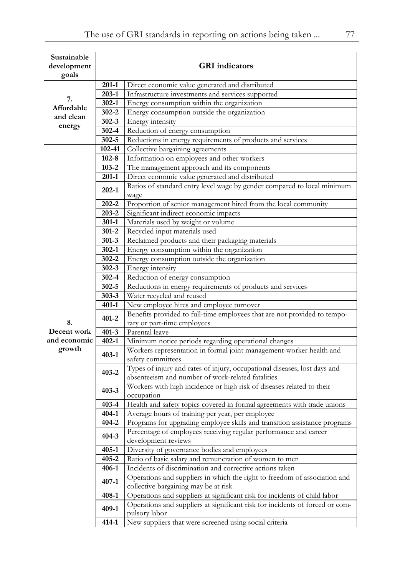| Sustainable<br>development |           | <b>GRI</b> indicators                                                                                             |
|----------------------------|-----------|-------------------------------------------------------------------------------------------------------------------|
| goals                      |           |                                                                                                                   |
|                            | $201-1$   | Direct economic value generated and distributed                                                                   |
|                            | $203 - 1$ | Infrastructure investments and services supported                                                                 |
| 7.                         | $302 - 1$ | Energy consumption within the organization                                                                        |
| Affordable                 | $302 - 2$ | Energy consumption outside the organization                                                                       |
| and clean                  | $302 - 3$ | Energy intensity                                                                                                  |
| energy                     | $302 - 4$ | Reduction of energy consumption                                                                                   |
|                            | 302-5     | Reductions in energy requirements of products and services                                                        |
|                            | 102-41    | Collective bargaining agreements                                                                                  |
|                            | $102 - 8$ | Information on employees and other workers                                                                        |
|                            | $103 - 2$ | The management approach and its components                                                                        |
|                            | 201-1     | Direct economic value generated and distributed                                                                   |
|                            |           | Ratios of standard entry level wage by gender compared to local minimum                                           |
|                            | $202 - 1$ | wage                                                                                                              |
|                            | 202-2     | Proportion of senior management hired from the local community                                                    |
|                            | $203 - 2$ | Significant indirect economic impacts                                                                             |
|                            | $301 - 1$ | Materials used by weight or volume                                                                                |
|                            | $301 - 2$ | Recycled input materials used                                                                                     |
|                            | $301 - 3$ | Reclaimed products and their packaging materials                                                                  |
|                            | $302 - 1$ | Energy consumption within the organization                                                                        |
|                            | $302 - 2$ | Energy consumption outside the organization                                                                       |
|                            | $302 - 3$ | Energy intensity                                                                                                  |
|                            | 302-4     | Reduction of energy consumption                                                                                   |
|                            | $302 - 5$ | Reductions in energy requirements of products and services                                                        |
|                            | $303 - 3$ | Water recycled and reused                                                                                         |
|                            | 401-1     | New employee hires and employee turnover                                                                          |
|                            | $401 - 2$ | Benefits provided to full-time employees that are not provided to tempo-                                          |
| 8.                         |           | rary or part-time employees                                                                                       |
| Decent work                | $401 - 3$ | Parental leave                                                                                                    |
| and economic               | $402 - 1$ | Minimum notice periods regarding operational changes                                                              |
| growth                     | $403 - 1$ | Workers representation in formal joint management-worker health and<br>safety committees                          |
|                            |           | Types of injury and rates of injury, occupational diseases, lost days and                                         |
|                            | $403 - 2$ | absenteeism and number of work-related fatalities                                                                 |
|                            |           | Workers with high incidence or high risk of diseases related to their                                             |
|                            | $403 - 3$ | occupation                                                                                                        |
|                            | $403 - 4$ | Health and safety topics covered in formal agreements with trade unions                                           |
|                            | $404 - 1$ | Average hours of training per year, per employee                                                                  |
|                            | $404 - 2$ | Programs for upgrading employee skills and transition assistance programs                                         |
|                            | $404 - 3$ | Percentage of employees receiving regular performance and career                                                  |
|                            |           | development reviews                                                                                               |
|                            | 405-1     | Diversity of governance bodies and employees                                                                      |
|                            | $405 - 2$ | Ratio of basic salary and remuneration of women to men                                                            |
|                            | 406-1     | Incidents of discrimination and corrective actions taken                                                          |
|                            | $407 - 1$ | Operations and suppliers in which the right to freedom of association and<br>collective bargaining may be at risk |
|                            | $408 - 1$ | Operations and suppliers at significant risk for incidents of child labor                                         |
|                            |           | Operations and suppliers at significant risk for incidents of forced or com-                                      |
|                            | $409-1$   | pulsory labor                                                                                                     |
|                            | 414-1     | New suppliers that were screened using social criteria                                                            |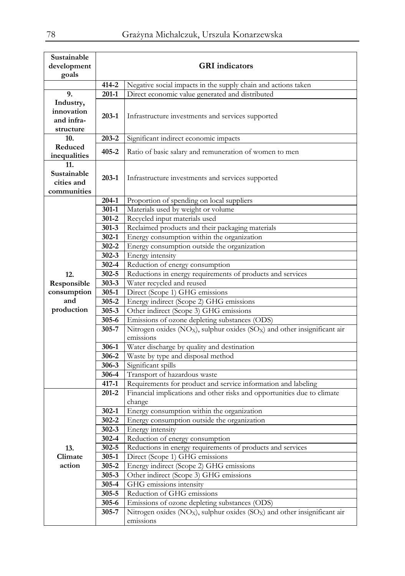| Sustainable<br>development |                    | <b>GRI</b> indicators                                                                                                                    |
|----------------------------|--------------------|------------------------------------------------------------------------------------------------------------------------------------------|
| goals                      |                    |                                                                                                                                          |
|                            | $414 - 2$          | Negative social impacts in the supply chain and actions taken                                                                            |
| 9.                         | $201-1$            | Direct economic value generated and distributed                                                                                          |
| Industry,                  |                    |                                                                                                                                          |
| innovation                 |                    |                                                                                                                                          |
| and infra-                 | 203-1              | Infrastructure investments and services supported                                                                                        |
| structure                  |                    |                                                                                                                                          |
| 10.                        | $203 - 2$          | Significant indirect economic impacts                                                                                                    |
| Reduced                    |                    |                                                                                                                                          |
| inequalities               | $405 - 2$          | Ratio of basic salary and remuneration of women to men                                                                                   |
| 11.                        |                    |                                                                                                                                          |
| Sustainable                | $203 - 1$          | Infrastructure investments and services supported                                                                                        |
| cities and                 |                    |                                                                                                                                          |
| communities                |                    |                                                                                                                                          |
|                            | 204-1              | Proportion of spending on local suppliers                                                                                                |
|                            | $301-1$            | Materials used by weight or volume                                                                                                       |
|                            | $301 - 2$          | Recycled input materials used                                                                                                            |
|                            | $301 - 3$          | Reclaimed products and their packaging materials                                                                                         |
|                            | $302 - 1$          | Energy consumption within the organization                                                                                               |
|                            | $302 - 2$          | Energy consumption outside the organization                                                                                              |
|                            | $302 - 3$          | Energy intensity                                                                                                                         |
|                            | $302 - 4$          | Reduction of energy consumption                                                                                                          |
| 12.                        | $302 - 5$          | Reductions in energy requirements of products and services                                                                               |
| Responsible                | $303 - 3$          | Water recycled and reused                                                                                                                |
| consumption                | $305 - 1$          | Direct (Scope 1) GHG emissions                                                                                                           |
| and                        | $305 - 2$          | Energy indirect (Scope 2) GHG emissions                                                                                                  |
| production                 | $305 - 3$          | Other indirect (Scope 3) GHG emissions                                                                                                   |
|                            | $305 - 6$          | Emissions of ozone depleting substances (ODS)                                                                                            |
|                            | 305-7              | Nitrogen oxides (NO <sub>X</sub> ), sulphur oxides (SO <sub>X</sub> ) and other insignificant air                                        |
|                            |                    | emissions                                                                                                                                |
|                            | 306-1              | Water discharge by quality and destination                                                                                               |
|                            | 306-2              | Waste by type and disposal method                                                                                                        |
|                            | $306 - 3$<br>306-4 | Significant spills                                                                                                                       |
|                            | $417 - 1$          | Transport of hazardous waste                                                                                                             |
|                            | $201 - 2$          | Requirements for product and service information and labeling<br>Financial implications and other risks and opportunities due to climate |
|                            |                    | change                                                                                                                                   |
|                            | $302 - 1$          | Energy consumption within the organization                                                                                               |
|                            | $302 - 2$          | Energy consumption outside the organization                                                                                              |
|                            | $302 - 3$          | Energy intensity                                                                                                                         |
|                            | $302 - 4$          | Reduction of energy consumption                                                                                                          |
| 13.                        | 302-5              | Reductions in energy requirements of products and services                                                                               |
| Climate                    | $305 - 1$          | Direct (Scope 1) GHG emissions                                                                                                           |
| action                     | 305-2              | Energy indirect (Scope 2) GHG emissions                                                                                                  |
|                            | $305 - 3$          | Other indirect (Scope 3) GHG emissions                                                                                                   |
|                            | 305-4              | GHG emissions intensity                                                                                                                  |
|                            | $305 - 5$          | Reduction of GHG emissions                                                                                                               |
|                            | $305 - 6$          | Emissions of ozone depleting substances (ODS)                                                                                            |
|                            | 305-7              | Nitrogen oxides (NO <sub>X</sub> ), sulphur oxides (SO <sub>X</sub> ) and other insignificant air                                        |
|                            |                    | emissions                                                                                                                                |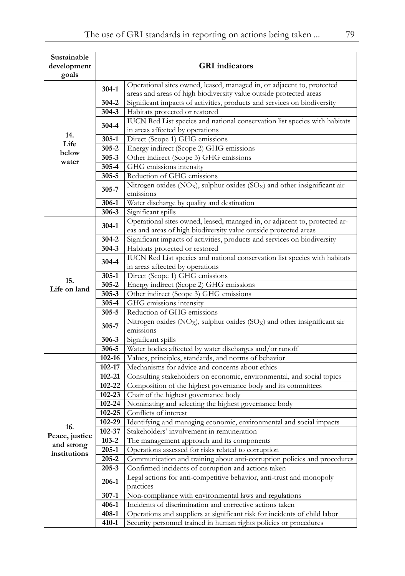| Sustainable<br>development |                    | <b>GRI</b> indicators                                                                             |
|----------------------------|--------------------|---------------------------------------------------------------------------------------------------|
| goals                      |                    |                                                                                                   |
|                            | $304-1$            | Operational sites owned, leased, managed in, or adjacent to, protected                            |
|                            |                    | areas and areas of high biodiversity value outside protected areas                                |
|                            | $304 - 2$          | Significant impacts of activities, products and services on biodiversity                          |
| 14.                        | 304-3              | Habitats protected or restored                                                                    |
|                            | 304-4              | IUCN Red List species and national conservation list species with habitats                        |
|                            | $305 - 1$          | in areas affected by operations                                                                   |
| Life                       | $305 - 2$          | Direct (Scope 1) GHG emissions                                                                    |
| below                      | $305 - 3$          | Energy indirect (Scope 2) GHG emissions<br>Other indirect (Scope 3) GHG emissions                 |
| water                      | 305-4              | GHG emissions intensity                                                                           |
|                            | $305 - 5$          | Reduction of GHG emissions                                                                        |
|                            |                    | Nitrogen oxides (NO <sub>X</sub> ), sulphur oxides (SO <sub>X</sub> ) and other insignificant air |
|                            | 305-7              | emissions                                                                                         |
|                            | 306-1              | Water discharge by quality and destination                                                        |
|                            | $306 - 3$          | Significant spills                                                                                |
|                            | $304-1$            | Operational sites owned, leased, managed in, or adjacent to, protected ar-                        |
|                            |                    | eas and areas of high biodiversity value outside protected areas                                  |
|                            | 304-2              | Significant impacts of activities, products and services on biodiversity                          |
|                            | $304 - 3$          | Habitats protected or restored                                                                    |
|                            | 304-4              | IUCN Red List species and national conservation list species with habitats                        |
|                            |                    | in areas affected by operations                                                                   |
| 15.                        | $305 - 1$          | Direct (Scope 1) GHG emissions                                                                    |
| Life on land               | $305 - 2$          | Energy indirect (Scope 2) GHG emissions                                                           |
|                            | $305 - 3$<br>305-4 | Other indirect (Scope 3) GHG emissions<br>GHG emissions intensity                                 |
|                            | 305-5              | Reduction of GHG emissions                                                                        |
|                            |                    | Nitrogen oxides ( $NOX$ ), sulphur oxides ( $SOX$ ) and other insignificant air                   |
|                            | 305-7              | emissions                                                                                         |
|                            | 306-3              | Significant spills                                                                                |
|                            | 306-5              | Water bodies affected by water discharges and/or runoff                                           |
|                            | 102-16             | Values, principles, standards, and norms of behavior                                              |
|                            | 102-17             | Mechanisms for advice and concerns about ethics                                                   |
|                            | $102 - 21$         | Consulting stakeholders on economic, environmental, and social topics                             |
|                            | 102-22             | Composition of the highest governance body and its committees                                     |
|                            | $102 - 23$         | Chair of the highest governance body                                                              |
|                            | 102-24             | Nominating and selecting the highest governance body                                              |
|                            | 102-25             | Conflicts of interest                                                                             |
| 16.                        | $102 - 29$         | Identifying and managing economic, environmental and social impacts                               |
| Peace, justice             | 102-37             | Stakeholders' involvement in remuneration                                                         |
| and strong                 | $103 - 2$          | The management approach and its components                                                        |
| institutions               | $205 - 1$          | Operations assessed for risks related to corruption                                               |
|                            | 205-2              | Communication and training about anti-corruption policies and procedures                          |
|                            | $205 - 3$          | Confirmed incidents of corruption and actions taken                                               |
|                            | 206-1              | Legal actions for anti-competitive behavior, anti-trust and monopoly<br>practices                 |
|                            | $307 - 1$          | Non-compliance with environmental laws and regulations                                            |
|                            | 406-1              | Incidents of discrimination and corrective actions taken                                          |
|                            | 408-1              | Operations and suppliers at significant risk for incidents of child labor                         |
|                            | $410 - 1$          | Security personnel trained in human rights policies or procedures                                 |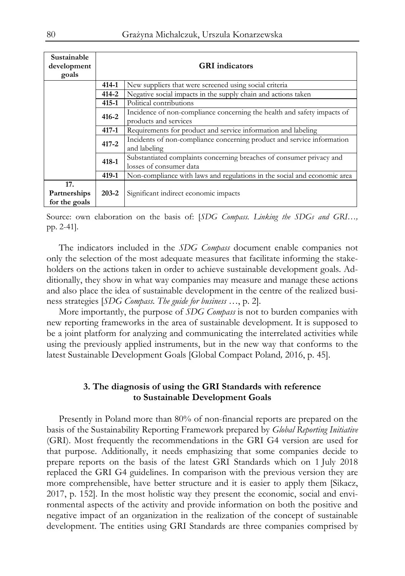| Sustainable<br>development<br>goals  |                                                                            | <b>GRI</b> indicators                                                                            |  |  |  |  |  |  |
|--------------------------------------|----------------------------------------------------------------------------|--------------------------------------------------------------------------------------------------|--|--|--|--|--|--|
|                                      | 414-1                                                                      | New suppliers that were screened using social criteria                                           |  |  |  |  |  |  |
|                                      | $414 - 2$                                                                  | Negative social impacts in the supply chain and actions taken                                    |  |  |  |  |  |  |
|                                      | $415 - 1$                                                                  | Political contributions                                                                          |  |  |  |  |  |  |
|                                      | $416 - 2$                                                                  | Incidence of non-compliance concerning the health and safety impacts of<br>products and services |  |  |  |  |  |  |
|                                      | Requirements for product and service information and labeling<br>$417 - 1$ |                                                                                                  |  |  |  |  |  |  |
|                                      | $417 - 2$                                                                  | Incidents of non-compliance concerning product and service information<br>and labeling           |  |  |  |  |  |  |
|                                      | $418 - 1$                                                                  | Substantiated complaints concerning breaches of consumer privacy and<br>losses of consumer data  |  |  |  |  |  |  |
|                                      | $419 - 1$                                                                  | Non-compliance with laws and regulations in the social and economic area                         |  |  |  |  |  |  |
| 17.<br>Partnerships<br>for the goals | $203 - 2$                                                                  | Significant indirect economic impacts                                                            |  |  |  |  |  |  |

Source: own elaboration on the basis of: [*SDG Compass. Linking the SDGs and GRI…,*  pp. 2-41].

The indicators included in the *SDG Compass* document enable companies not only the selection of the most adequate measures that facilitate informing the stakeholders on the actions taken in order to achieve sustainable development goals. Additionally, they show in what way companies may measure and manage these actions and also place the idea of sustainable development in the centre of the realized business strategies [*SDG Compass. The guide for business …*, p. 2].

More importantly, the purpose of *SDG Compass* is not to burden companies with new reporting frameworks in the area of sustainable development. It is supposed to be a joint platform for analyzing and communicating the interrelated activities while using the previously applied instruments, but in the new way that conforms to the latest Sustainable Development Goals [Global Compact Poland*,* 2016, p. 45].

#### **3. The diagnosis of using the GRI Standards with reference to Sustainable Development Goals**

Presently in Poland more than 80% of non-financial reports are prepared on the basis of the Sustainability Reporting Framework prepared by *Global Reporting Initiative* (GRI). Most frequently the recommendations in the GRI G4 version are used for that purpose. Additionally, it needs emphasizing that some companies decide to prepare reports on the basis of the latest GRI Standards which on 1 July 2018 replaced the GRI G4 guidelines. In comparison with the previous version they are more comprehensible, have better structure and it is easier to apply them [Sikacz, 2017, p. 152]. In the most holistic way they present the economic, social and environmental aspects of the activity and provide information on both the positive and negative impact of an organization in the realization of the concept of sustainable development. The entities using GRI Standards are three companies comprised by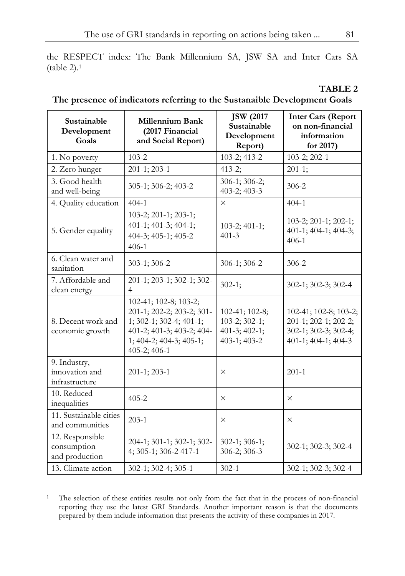the RESPECT index: The Bank Millennium SA, JSW SA and Inter Cars SA (table 2).1

|                                                                           | TABLE 2 |
|---------------------------------------------------------------------------|---------|
| The presence of indicators referring to the Sustanaible Development Goals |         |

| Sustainable<br>Development<br>Goals              | <b>Millennium Bank</b><br>(2017 Financial<br>and Social Report)                                                                                         | <b>JSW</b> (2017)<br>Sustainable<br>Development<br>Report)                        | <b>Inter Cars (Report</b><br>on non-financial<br>information<br>for 2017)                    |
|--------------------------------------------------|---------------------------------------------------------------------------------------------------------------------------------------------------------|-----------------------------------------------------------------------------------|----------------------------------------------------------------------------------------------|
| 1. No poverty                                    | $103 - 2$                                                                                                                                               | 103-2; 413-2                                                                      | 103-2; 202-1                                                                                 |
| 2. Zero hunger                                   | $201-1; 203-1$                                                                                                                                          | $413 - 2$ ;                                                                       | $201 - 1;$                                                                                   |
| 3. Good health<br>and well-being                 | 305-1; 306-2; 403-2                                                                                                                                     | 306-1; 306-2;<br>403-2; 403-3                                                     | $306 - 2$                                                                                    |
| 4. Quality education                             | $404-1$                                                                                                                                                 | $\times$                                                                          | $404-1$                                                                                      |
| 5. Gender equality                               | 103-2; 201-1; 203-1;<br>401-1; 401-3; 404-1;<br>404-3; 405-1; 405-2<br>$406-1$                                                                          | $103-2; 401-1;$<br>$401 - 3$                                                      | 103-2; 201-1; 202-1;<br>401-1; 404-1; 404-3;<br>$406 - 1$                                    |
| 6. Clean water and<br>sanitation                 | 303-1; 306-2                                                                                                                                            | $306-1$ ; 306-2                                                                   | $306 - 2$                                                                                    |
| 7. Affordable and<br>clean energy                | 201-1; 203-1; 302-1; 302-<br>$\overline{4}$                                                                                                             | $302 - 1;$                                                                        | 302-1; 302-3; 302-4                                                                          |
| 8. Decent work and<br>economic growth            | 102-41; 102-8; 103-2;<br>201-1; 202-2; 203-2; 301-<br>1; 302-1; 302-4; 401-1;<br>401-2; 401-3; 403-2; 404-<br>1; 404-2; 404-3; 405-1;<br>$405-2; 406-1$ | $102-41$ ; $102-8$ ;<br>$103 - 2; 302 - 1;$<br>401-3; 402-1;<br>$403-1$ ; $403-2$ | 102-41; 102-8; 103-2;<br>201-1; 202-1; 202-2;<br>302-1; 302-3; 302-4;<br>401-1; 404-1; 404-3 |
| 9. Industry,<br>innovation and<br>infrastructure | $201-1$ ; 203-1                                                                                                                                         | $\times$                                                                          | $201 - 1$                                                                                    |
| 10. Reduced<br>inequalities                      | $405 - 2$                                                                                                                                               | $\times$                                                                          | $\times$                                                                                     |
| 11. Sustainable cities<br>and communities        | $203-1$                                                                                                                                                 | $\times$                                                                          | $\times$                                                                                     |
| 12. Responsible<br>consumption<br>and production | 204-1; 301-1; 302-1; 302-<br>4; 305-1; 306-2 417-1                                                                                                      | $302-1; 306-1;$<br>306-2; 306-3                                                   | 302-1; 302-3; 302-4                                                                          |
| 13. Climate action                               | 302-1; 302-4; 305-1                                                                                                                                     | $302 - 1$                                                                         | 302-1; 302-3; 302-4                                                                          |

 $\overline{a}$ 1 The selection of these entities results not only from the fact that in the process of non-financial reporting they use the latest GRI Standards. Another important reason is that the documents prepared by them include information that presents the activity of these companies in 2017.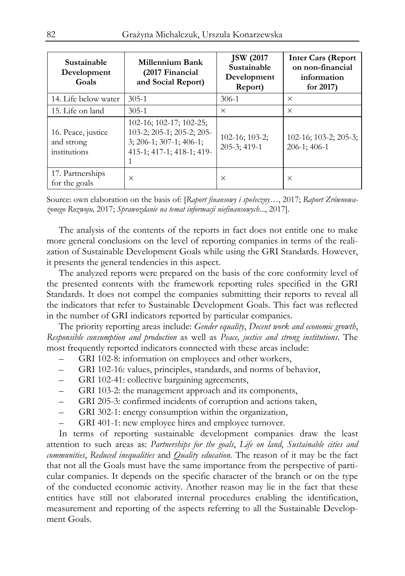| Sustainable<br>Development<br>Goals              | <b>Millennium Bank</b><br>(2017 Financial<br>and Social Report)                                                | <b>JSW</b> (2017)<br>Sustainable<br>Development<br>Report) | <b>Inter Cars (Report</b><br>on non-financial<br>information<br>for $2017$ ) |
|--------------------------------------------------|----------------------------------------------------------------------------------------------------------------|------------------------------------------------------------|------------------------------------------------------------------------------|
| 14. Life below water                             | $305-1$                                                                                                        | $306-1$                                                    | $\times$                                                                     |
| 15. Life on land                                 | $305 - 1$                                                                                                      | $\times$                                                   | $\times$                                                                     |
| 16. Peace, justice<br>and strong<br>institutions | 102-16; 102-17; 102-25;<br>103-2; 205-1; 205-2; 205-<br>$3; 206-1; 307-1; 406-1;$<br>415-1; 417-1; 418-1; 419- | $102-16$ ; $103-2$ ;<br>$205-3$ ; 419-1                    | $102-16$ ; $103-2$ ; $205-3$ ;<br>$206-1:406-1$                              |
| 17. Partnerships<br>for the goals                | $\times$                                                                                                       | $\times$                                                   | $\times$                                                                     |

Source: own elaboration on the basis of: [*Raport finansowy i społeczny*…, 2017; *Raport Zrównoważonego Rozwoju,* 2017; *Sprawozdanie na temat informacji niefinansowych*..., 2017].

The analysis of the contents of the reports in fact does not entitle one to make more general conclusions on the level of reporting companies in terms of the realization of Sustainable Development Goals while using the GRI Standards. However, it presents the general tendencies in this aspect.

The analyzed reports were prepared on the basis of the core conformity level of the presented contents with the framework reporting rules specified in the GRI Standards. It does not compel the companies submitting their reports to reveal all the indicators that refer to Sustainable Development Goals. This fact was reflected in the number of GRI indicators reported by particular companies.

The priority reporting areas include: *Gender equality*, *Decent work and economic growth*, *Responsible consumption and production* as well as *Peace, justice and strong institutions*. The most frequently reported indicators connected with these areas include:

- GRI 102-8: information on employees and other workers,
- GRI 102-16: values, principles, standards, and norms of behavior,
- GRI 102-41: collective bargaining agreements,
- GRI 103-2: the management approach and its components,
- GRI 205-3: confirmed incidents of corruption and actions taken,
- GRI 302-1: energy consumption within the organization,
- GRI 401-1: new employee hires and employee turnover.

In terms of reporting sustainable development companies draw the least attention to such areas as: *Partnerships for the goals*, *Life on land*, *Sustainable cities and communities*, *Reduced inequalities* and *Quality education*. The reason of it may be the fact that not all the Goals must have the same importance from the perspective of particular companies. It depends on the specific character of the branch or on the type of the conducted economic activity. Another reason may lie in the fact that these entities have still not elaborated internal procedures enabling the identification, measurement and reporting of the aspects referring to all the Sustainable Development Goals.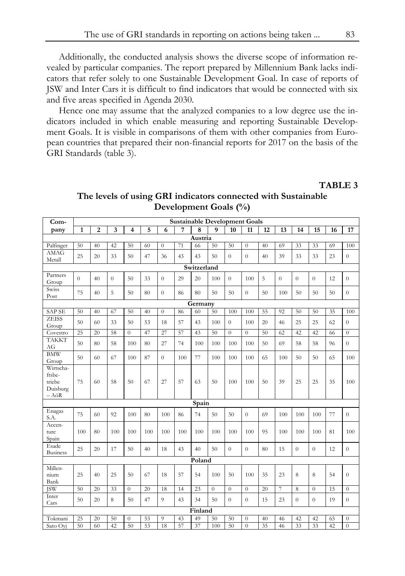Additionally, the conducted analysis shows the diverse scope of information revealed by particular companies. The report prepared by Millennium Bank lacks indicators that refer solely to one Sustainable Development Goal. In case of reports of JSW and Inter Cars it is difficult to find indicators that would be connected with six and five areas specified in Agenda 2030.

Hence one may assume that the analyzed companies to a low degree use the indicators included in which enable measuring and reporting Sustainable Development Goals. It is visible in comparisons of them with other companies from European countries that prepared their non-financial reports for 2017 on the basis of the GRI Standards (table 3).

#### **TABLE 3**

| Com-                                                        | <b>Sustainable Development Goals</b> |                |                |                |     |                  |     |         |                  |                  |                  |    |          |                  |                |    |                  |
|-------------------------------------------------------------|--------------------------------------|----------------|----------------|----------------|-----|------------------|-----|---------|------------------|------------------|------------------|----|----------|------------------|----------------|----|------------------|
| pany                                                        | 1                                    | $\overline{c}$ | 3              | 4              | 5   | 6                | 7   | 8       | $\mathbf{Q}$     | 10               | 11               | 12 | 13       | 14               | 15             | 16 | 17               |
|                                                             |                                      |                |                |                |     |                  |     | Austria |                  |                  |                  |    |          |                  |                |    |                  |
| Palfinger                                                   | 50                                   | 40             | 42             | 50             | 60  | $\theta$         | 71  | 66      | 50               | 50               | $\overline{0}$   | 40 | 69       | 33               | 33             | 69 | 100              |
| <b>AMAG</b><br>Metall                                       | 25                                   | 20             | 33             | 50             | 47  | 36               | 43  | 43      | 50               | $\boldsymbol{0}$ | $\boldsymbol{0}$ | 40 | 39       | 33               | 33             | 23 | $\overline{0}$   |
| Switzerland                                                 |                                      |                |                |                |     |                  |     |         |                  |                  |                  |    |          |                  |                |    |                  |
| Partners<br>Group                                           | $\overline{0}$                       | 40             | $\overline{0}$ | 50             | 33  | $\theta$         | 29  | 20      | 100              | $\overline{0}$   | 100              | 5  | $\theta$ | $\overline{0}$   | $\overline{0}$ | 12 | $\overline{0}$   |
| Swiss<br>Post                                               | 75                                   | 40             | 5              | 50             | 80  | $\overline{0}$   | 86  | 80      | 50               | 50               | $\overline{0}$   | 50 | 100      | 50               | 50             | 50 | $\overline{0}$   |
| Germany                                                     |                                      |                |                |                |     |                  |     |         |                  |                  |                  |    |          |                  |                |    |                  |
| <b>SAP SE</b>                                               | 50                                   | 40             | 67             | 50             | 40  | $\boldsymbol{0}$ | 86  | 60      | 50               | 100              | 100              | 55 | 92       | 50               | 50             | 35 | 100              |
| <b>ZEISS</b><br>Group                                       | 50                                   | 60             | 33             | 50             | 53  | 18               | 57  | 43      | 100              | $\overline{0}$   | 100              | 20 | 46       | 25               | 25             | 62 | $\overline{0}$   |
| Covestro                                                    | 25                                   | 20             | 58             | $\Omega$       | 47  | 27               | 57  | 43      | 50               | $\overline{0}$   | $\overline{0}$   | 50 | 62       | 42               | 42             | 66 | $\boldsymbol{0}$ |
| <b>TAKKT</b><br>AG                                          | 50                                   | 80             | 58             | 100            | 80  | 27               | 74  | 100     | 100              | 100              | 100              | 50 | 69       | 58               | 58             | 96 | $\overline{0}$   |
| <b>BMW</b><br>Group                                         | 50                                   | 60             | 67             | 100            | 87  | $\overline{0}$   | 100 | 77      | 100              | 100              | 100              | 65 | 100      | 50               | 50             | 65 | 100              |
| Wirtscha-<br>ftsbe-<br>triebe<br>Duisburg<br>$- A\ddot{o}R$ | 75                                   | 60             | 58             | 50             | 67  | 27               | 57  | 63      | 50               | 100              | 100              | 50 | 39       | 25               | 25             | 35 | 100              |
|                                                             |                                      |                |                |                |     |                  |     | Spain   |                  |                  |                  |    |          |                  |                |    |                  |
| Enagas<br>S.A.                                              | 75                                   | 60             | 92             | 100            | 80  | 100              | 86  | 74      | 50               | 50               | $\overline{0}$   | 69 | 100      | 100              | 100            | 77 | $\overline{0}$   |
| Accen-<br>ture<br>Spain                                     | 100                                  | 80             | 100            | 100            | 100 | 100              | 100 | 100     | 100              | 100              | 100              | 95 | 100      | 100              | 100            | 81 | 100              |
| Esade<br><b>Business</b>                                    | 25                                   | 20             | 17             | 50             | 40  | 18               | 43  | 40      | 50               | $\overline{0}$   | $\overline{0}$   | 80 | 15       | $\overline{0}$   | $\overline{0}$ | 12 | $\overline{0}$   |
|                                                             |                                      |                |                |                |     |                  |     | Poland  |                  |                  |                  |    |          |                  |                |    |                  |
| Millen-<br>nium<br>Bank                                     | 25                                   | 40             | 25             | 50             | 67  | 18               | 57  | 54      | 100              | 50               | 100              | 35 | 23       | 8                | 8              | 54 | $\overline{0}$   |
| <b>ISW</b>                                                  | 50                                   | 20             | 33             | $\overline{0}$ | 20  | 18               | 14  | 23      | $\boldsymbol{0}$ | $\boldsymbol{0}$ | $\boldsymbol{0}$ | 20 | 7        | 8                | $\overline{0}$ | 15 | $\boldsymbol{0}$ |
| Inter<br>Cars                                               | 50                                   | 20             | 8              | 50             | 47  | 9                | 43  | 34      | 50               | $\boldsymbol{0}$ | $\boldsymbol{0}$ | 15 | 23       | $\boldsymbol{0}$ | $\overline{0}$ | 19 | $\overline{0}$   |
|                                                             |                                      |                |                |                |     |                  |     | Finland |                  |                  |                  |    |          |                  |                |    |                  |
| Tokmani                                                     | 25                                   | 20             | 50             | $\theta$       | 53  | 9                | 43  | 49      | 50               | 50               | $\boldsymbol{0}$ | 40 | 46       | 42               | 42             | 65 | $\theta$         |
| Sato Ovi                                                    | 50                                   | 60             | 42             | 50             | 53  | 18               | 57  | 37      | 100              | 50               | $\overline{0}$   | 35 | 46       | 33               | 33             | 42 | $\overline{0}$   |

## **The levels of using GRI indicators connected with Sustainable Development Goals (%)**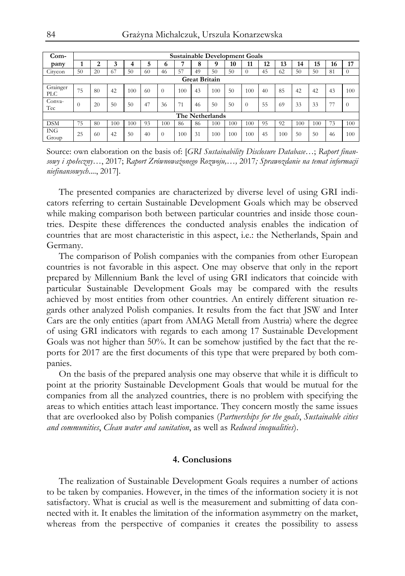| $Com-$                 | <b>Sustainable Development Goals</b> |    |     |     |    |          |     |    |     |     |          |    |     |     |     |    |          |
|------------------------|--------------------------------------|----|-----|-----|----|----------|-----|----|-----|-----|----------|----|-----|-----|-----|----|----------|
| pany                   |                                      | ി  |     |     | 5  | 0        |     | Ω  |     | 10  | 11       | 12 | 13  | 14  | 15  | 16 | 17       |
| Citycon                | 50                                   | 20 | 67  | 50  | 60 | 46       | 57  | 49 | 50  | 50  | $\theta$ | 45 | 62  | 50  | 50  | 81 | $\theta$ |
|                        | <b>Great Britain</b>                 |    |     |     |    |          |     |    |     |     |          |    |     |     |     |    |          |
| Grainger<br><b>PLC</b> | 75                                   | 80 | 42  | 100 | 60 | $\theta$ | 100 | 43 | 100 | 50  | 100      | 40 | 85  | 42  | 42  | 43 | 100      |
| Conva-<br>Tec          | $\Omega$                             | 20 | 50  | 50  | 47 | 36       | 71  | 46 | 50  | 50  | $\theta$ | 55 | 69  | 33  | 33  | 77 | 0        |
|                        | The Netherlands                      |    |     |     |    |          |     |    |     |     |          |    |     |     |     |    |          |
| <b>DSM</b>             | 75                                   | 80 | 100 | 100 | 93 | 100      | 86  | 86 | 100 | 100 | 100      | 95 | 92  | 100 | 100 | 73 | 100      |
| <b>ING</b><br>Group    | 25                                   | 60 | 42  | 50  | 40 | $\Omega$ | 100 | 31 | 100 | 100 | 100      | 45 | 100 | 50  | 50  | 46 | 100      |

Source: own elaboration on the basis of: [*GRI Sustainability Disclosure Database…*; *Raport finansowy i społeczny*…, 2017; *Raport Zrównoważonego Rozwoju,…,* 2017*; Sprawozdanie na temat informacji niefinansowych*...., 2017].

The presented companies are characterized by diverse level of using GRI indicators referring to certain Sustainable Development Goals which may be observed while making comparison both between particular countries and inside those countries. Despite these differences the conducted analysis enables the indication of countries that are most characteristic in this aspect, i.e.: the Netherlands, Spain and Germany.

The comparison of Polish companies with the companies from other European countries is not favorable in this aspect. One may observe that only in the report prepared by Millennium Bank the level of using GRI indicators that coincide with particular Sustainable Development Goals may be compared with the results achieved by most entities from other countries. An entirely different situation regards other analyzed Polish companies. It results from the fact that JSW and Inter Cars are the only entities (apart from AMAG Metall from Austria) where the degree of using GRI indicators with regards to each among 17 Sustainable Development Goals was not higher than 50%. It can be somehow justified by the fact that the reports for 2017 are the first documents of this type that were prepared by both companies.

On the basis of the prepared analysis one may observe that while it is difficult to point at the priority Sustainable Development Goals that would be mutual for the companies from all the analyzed countries, there is no problem with specifying the areas to which entities attach least importance. They concern mostly the same issues that are overlooked also by Polish companies (*Partnerships for the goals*, *Sustainable cities and communities*, *Clean water and sanitation*, as well as *Reduced inequalities*).

#### **4. Conclusions**

The realization of Sustainable Development Goals requires a number of actions to be taken by companies. However, in the times of the information society it is not satisfactory. What is crucial as well is the measurement and submitting of data connected with it. It enables the limitation of the information asymmetry on the market, whereas from the perspective of companies it creates the possibility to assess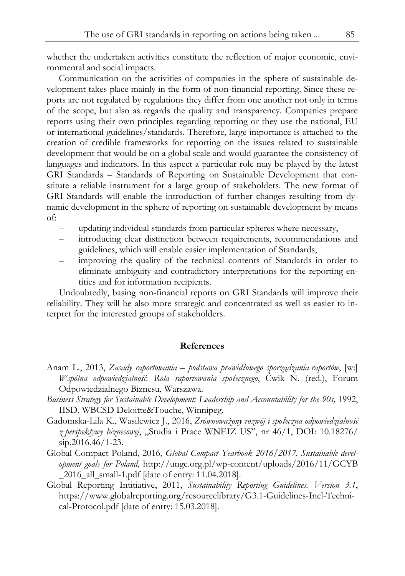whether the undertaken activities constitute the reflection of major economic, environmental and social impacts.

Communication on the activities of companies in the sphere of sustainable development takes place mainly in the form of non-financial reporting. Since these reports are not regulated by regulations they differ from one another not only in terms of the scope, but also as regards the quality and transparency. Companies prepare reports using their own principles regarding reporting or they use the national, EU or international guidelines/standards. Therefore, large importance is attached to the creation of credible frameworks for reporting on the issues related to sustainable development that would be on a global scale and would guarantee the consistency of languages and indicators. In this aspect a particular role may be played by the latest GRI Standards – Standards of Reporting on Sustainable Development that constitute a reliable instrument for a large group of stakeholders. The new format of GRI Standards will enable the introduction of further changes resulting from dynamic development in the sphere of reporting on sustainable development by means of:

- updating individual standards from particular spheres where necessary,
- introducing clear distinction between requirements, recommendations and guidelines, which will enable easier implementation of Standards,
- improving the quality of the technical contents of Standards in order to eliminate ambiguity and contradictory interpretations for the reporting entities and for information recipients.

Undoubtedly, basing non-financial reports on GRI Standards will improve their reliability. They will be also more strategic and concentrated as well as easier to interpret for the interested groups of stakeholders.

#### **References**

- Anam L., 2013, *Zasady raportowania podstawa prawidłowego sporządzania raportów*, [w:] *Wspólna odpowiedzialność. Rola raportowania społecznego*, Ćwik N. (red.), Forum Odpowiedzialnego Biznesu, Warszawa.
- *Business Strategy for Sustainable Development: Leadership and Accountability for the 90s,* 1992, IISD, WBCSD Deloitte&Touche, Winnipeg.
- Gadomska-Lila K., Wasilewicz J., 2016, *Zrównoważony rozwój i społeczna odpowiedzialność z perspektywy biznesowej*, "Studia i Prace WNEIZ US", nr 46/1, DOI: 10.18276/  $\sin 2016.46/1 - 23.$
- Global Compact Poland, 2016, *Global Compact Yearbook 2016/2017. Sustainable development goals for Poland*, http://ungc.org.pl/wp-content/uploads/2016/11/GCYB \_2016\_all\_small-1.pdf [date of entry: 11.04.2018].
- Global Reporting Intitiative, 2011, *Sustainability Reporting Guidelines. Version 3.1*, https://www.globalreporting.org/resourcelibrary/G3.1-Guidelines-Incl-Technical-Protocol.pdf [date of entry: 15.03.2018].